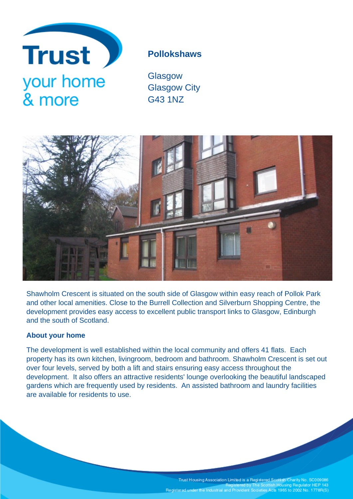

# **Pollokshaws**

**Glasgow** Glasgow City G43 1NZ



Shawholm Crescent is situated on the south side of Glasgow within easy reach of Pollok Park and other local amenities. Close to the Burrell Collection and Silverburn Shopping Centre, the development provides easy access to excellent public transport links to Glasgow, Edinburgh and the south of Scotland.

## **About your home**

The development is well established within the local community and offers 41 flats. Each property has its own kitchen, livingroom, bedroom and bathroom. Shawholm Crescent is set out over four levels, served by both a lift and stairs ensuring easy access throughout the development. It also offers an attractive residents' lounge overlooking the beautiful landscaped gardens which are frequently used by residents. An assisted bathroom and laundry facilities are available for residents to use.

Trust Housing Association Limited is a Registered Scottish Charity No. SC009086<br>Registered by The Scottish Housing Regulator HEP 143<br>Registered under the Industrial and Provident Societies Acts 1965 to 2002 No. 1778R(S)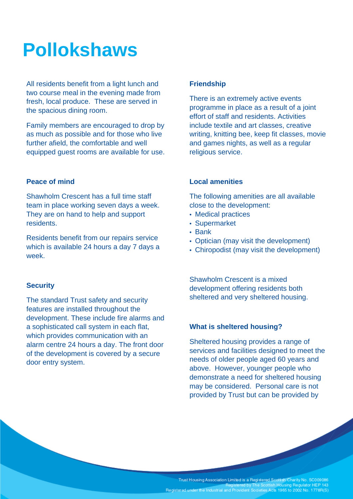# **Pollokshaws**

All residents benefit from a light lunch and two course meal in the evening made from fresh, local produce. These are served in the spacious dining room.

Family members are encouraged to drop by as much as possible and for those who live further afield, the comfortable and well equipped guest rooms are available for use.

### **Peace of mind**

Shawholm Crescent has a full time staff team in place working seven days a week. They are on hand to help and support residents.

Residents benefit from our repairs service which is available 24 hours a day 7 days a week.

### **Security**

The standard Trust safety and security features are installed throughout the development. These include fire alarms and a sophisticated call system in each flat, which provides communication with an alarm centre 24 hours a day. The front door of the development is covered by a secure door entry system.

#### **Friendship**

There is an extremely active events programme in place as a result of a joint effort of staff and residents. Activities include textile and art classes, creative writing, knitting bee, keep fit classes, movie and games nights, as well as a regular religious service.

### **Local amenities**

The following amenities are all available close to the development:

- Medical practices
- Supermarket
- Bank
- Optician (may visit the development)
- Chiropodist (may visit the development)

Shawholm Crescent is a mixed development offering residents both sheltered and very sheltered housing.

#### **What is sheltered housing?**

Sheltered housing provides a range of services and facilities designed to meet the needs of older people aged 60 years and above. However, younger people who demonstrate a need for sheltered housing may be considered. Personal care is not provided by Trust but can be provided by

Trust Housing Association Limited is a Registered Scottish Charity No. SC009086<br>Registered by The Scottish Housing Regulator HEP 143 Registered under the Industrial and Provident Societies Acts 1965 to 2002 No. 1778R(S)